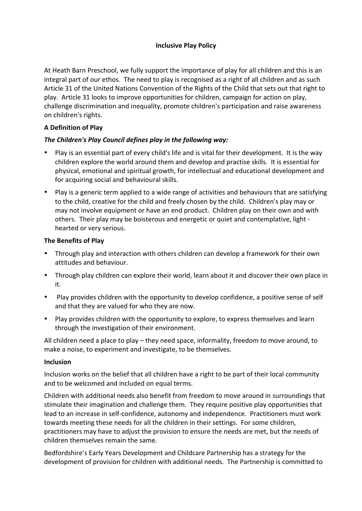### **Inclusive Play Policy**

At Heath Barn Preschool, we fully support the importance of play for all children and this is an integral part of our ethos. The need to play is recognised as a right of all children and as such Article 31 of the United Nations Convention of the Rights of the Child that sets out that right to play. Article 31 looks to improve opportunities for children, campaign for action on play, challenge discrimination and inequality, promote children's participation and raise awareness on children's rights.

# **A Definition of Play**

## The Children's Play Council defines play in the following way:

- Play is an essential part of every child's life and is vital for their development. It is the way children explore the world around them and develop and practise skills. It is essential for physical, emotional and spiritual growth, for intellectual and educational development and for acquiring social and behavioural skills.
- Play is a generic term applied to a wide range of activities and behaviours that are satisfying to the child, creative for the child and freely chosen by the child. Children's play may or may not involve equipment or have an end product. Children play on their own and with others. Their play may be boisterous and energetic or quiet and contemplative, light hearted or very serious.

### **The Benefits of Play**

- Through play and interaction with others children can develop a framework for their own attitudes and behaviour.
- Through play children can explore their world, learn about it and discover their own place in it.
- Play provides children with the opportunity to develop confidence, a positive sense of self and that they are valued for who they are now.
- Play provides children with the opportunity to explore, to express themselves and learn through the investigation of their environment.

All children need a place to play  $-$  they need space, informality, freedom to move around, to make a noise, to experiment and investigate, to be themselves.

### **Inclusion**

Inclusion works on the belief that all children have a right to be part of their local community and to be welcomed and included on equal terms.

Children with additional needs also benefit from freedom to move around in surroundings that stimulate their imagination and challenge them. They require positive play opportunities that lead to an increase in self-confidence, autonomy and independence. Practitioners must work towards meeting these needs for all the children in their settings. For some children, practitioners may have to adjust the provision to ensure the needs are met, but the needs of children themselves remain the same.

Bedfordshire's Early Years Development and Childcare Partnership has a strategy for the development of provision for children with additional needs. The Partnership is committed to